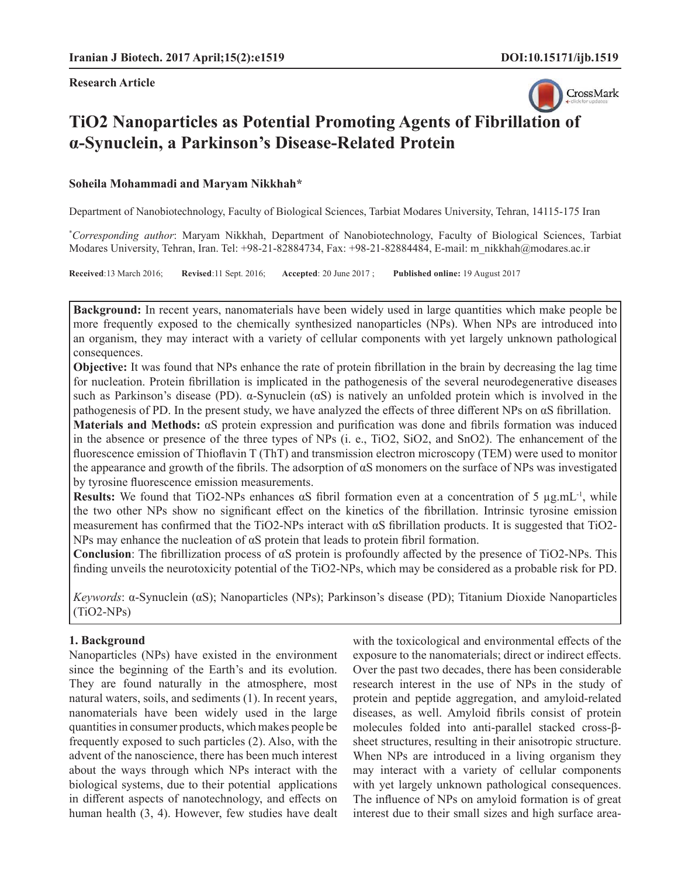**Research Article**



# **TiO2 Nanoparticles as Potential Promoting Agents of Fibrillation of α-Synuclein, a Parkinson's Disease-Related Protein**

#### **Soheila Mohammadi and Maryam Nikkhah\***

Department of Nanobiotechnology, Faculty of Biological Sciences, Tarbiat Modares University, Tehran, 14115-175 Iran

\* *Corresponding author*: Maryam Nikkhah, Department of Nanobiotechnology, Faculty of Biological Sciences, Tarbiat Modares University, Tehran, Iran. Tel: +98-21-82884734, Fax: +98-21-82884484, E-mail: m\_nikkhah@modares.ac.ir

**Received**:13 March 2016; **Revised**:11 Sept. 2016; **Accepted**: 20 June 2017 ; **Published online:** 19 August 2017

**Background:** In recent years, nanomaterials have been widely used in large quantities which make people be more frequently exposed to the chemically synthesized nanoparticles (NPs). When NPs are introduced into an organism, they may interact with a variety of cellular components with yet largely unknown pathological consequences.

**Objective:** It was found that NPs enhance the rate of protein fibrillation in the brain by decreasing the lag time for nucleation. Protein fibrillation is implicated in the pathogenesis of the several neurodegenerative diseases such as Parkinson's disease (PD). α-Synuclein (αS) is natively an unfolded protein which is involved in the pathogenesis of PD. In the present study, we have analyzed the effects of three different NPs on  $\alpha$ S fibrillation.

**Materials and Methods:** αS protein expression and purification was done and fibrils formation was induced in the absence or presence of the three types of NPs (i. e., TiO2, SiO2, and SnO2). The enhancement of the fluorescence emission of Thioflavin T (ThT) and transmission electron microscopy (TEM) were used to monitor the appearance and growth of the fibrils. The adsorption of  $\alpha S$  monomers on the surface of NPs was investigated by tyrosine fluorescence emission measurements.

**Results:** We found that TiO2-NPs enhances  $\alpha$ S fibril formation even at a concentration of 5  $\mu$ g.mL<sup>-1</sup>, while the two other NPs show no significant effect on the kinetics of the fibrillation. Intrinsic tyrosine emission measurement has confirmed that the TiO2-NPs interact with  $\alpha S$  fibrillation products. It is suggested that TiO2-NPs may enhance the nucleation of  $\alpha S$  protein that leads to protein fibril formation.

**Conclusion**: The fibrillization process of  $\alpha S$  protein is profoundly affected by the presence of TiO2-NPs. This finding unveils the neurotoxicity potential of the TiO2-NPs, which may be considered as a probable risk for PD.

*Keywords*: α-Synuclein (αS); Nanoparticles (NPs); Parkinson's disease (PD); Titanium Dioxide Nanoparticles (TiO2-NPs)

## **1. Background**

Nanoparticles (NPs) have existed in the environment since the beginning of the Earth's and its evolution. They are found naturally in the atmosphere, most natural waters, soils, and sediments (1). In recent years, nanomaterials have been widely used in the large quantities in consumer products, which makes people be frequently exposed to such particles (2). Also, with the advent of the nanoscience, there has been much interest about the ways through which NPs interact with the biological systems, due to their potential applications in different aspects of nanotechnology, and effects on human health (3, 4). However, few studies have dealt with the toxicological and environmental effects of the exposure to the nanomaterials; direct or indirect effects. Over the past two decades, there has been considerable research interest in the use of NPs in the study of protein and peptide aggregation, and amyloid-related diseases, as well. Amyloid fibrils consist of protein molecules folded into anti-parallel stacked cross-βsheet structures, resulting in their anisotropic structure. When NPs are introduced in a living organism they may interact with a variety of cellular components with yet largely unknown pathological consequences. The influence of NPs on amyloid formation is of great interest due to their small sizes and high surface area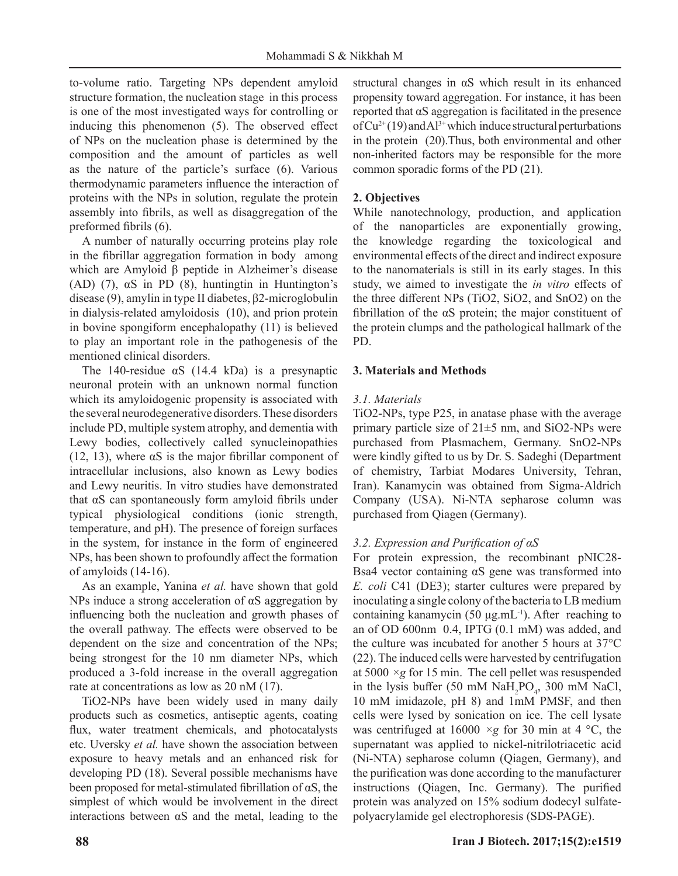to-volume ratio. Targeting NPs dependent amyloid structure formation, the nucleation stage in this process is one of the most investigated ways for controlling or inducing this phenomenon  $(5)$ . The observed effect of NPs on the nucleation phase is determined by the composition and the amount of particles as well as the nature of the particle's surface (6). Various thermodynamic parameters influence the interaction of proteins with the NPs in solution, regulate the protein assembly into fibrils, as well as disaggregation of the preformed fibrils (6).

A number of naturally occurring proteins play role in the fibrillar aggregation formation in body among which are Amyloid β peptide in Alzheimer's disease (AD) (7),  $\alpha S$  in PD (8), huntingtin in Huntington's disease (9), amylin in type II diabetes, β2-microglobulin in dialysis-related amyloidosis (10), and prion protein in bovine spongiform encephalopathy (11) is believed to play an important role in the pathogenesis of the mentioned clinical disorders.

The 140-residue  $\alpha S$  (14.4 kDa) is a presynaptic neuronal protein with an unknown normal function which its amyloidogenic propensity is associated with the several neurodegenerative disorders. These disorders include PD, multiple system atrophy, and dementia with Lewy bodies, collectively called synucleinopathies (12, 13), where  $\alpha S$  is the major fibrillar component of intracellular inclusions, also known as Lewy bodies and Lewy neuritis. In vitro studies have demonstrated that  $\alpha S$  can spontaneously form amyloid fibrils under typical physiological conditions (ionic strength, temperature, and pH). The presence of foreign surfaces in the system, for instance in the form of engineered NPs, has been shown to profoundly affect the formation of amyloids (14-16).

As an example, Yanina *et al.* have shown that gold NPs induce a strong acceleration of  $\alpha$ S aggregation by influencing both the nucleation and growth phases of the overall pathway. The effects were observed to be dependent on the size and concentration of the NPs; being strongest for the 10 nm diameter NPs, which produced a 3-fold increase in the overall aggregation rate at concentrations as low as 20 nM (17).

TiO2-NPs have been widely used in many daily products such as cosmetics, antiseptic agents, coating flux, water treatment chemicals, and photocatalysts etc. Uversky *et al.* have shown the association between exposure to heavy metals and an enhanced risk for developing PD (18). Several possible mechanisms have been proposed for metal-stimulated fibrillation of  $\alpha S$ , the simplest of which would be involvement in the direct interactions between  $\alpha S$  and the metal, leading to the structural changes in αS which result in its enhanced propensity toward aggregation. For instance, it has been reported that αS aggregation is facilitated in the presence of  $Cu^{2+}(19)$  and Al<sup>3+</sup> which induce structural perturbations in the protein (20).Thus, both environmental and other non-inherited factors may be responsible for the more common sporadic forms of the PD (21).

# **2. Objectives**

While nanotechnology, production, and application of the nanoparticles are exponentially growing, the knowledge regarding the toxicological and environmental effects of the direct and indirect exposure to the nanomaterials is still in its early stages. In this study, we aimed to investigate the *in vitro* effects of the three different NPs (TiO2, SiO2, and SnO2) on the fibrillation of the  $\alpha S$  protein; the major constituent of the protein clumps and the pathological hallmark of the PD.

# **3. Materials and Methods**

## *3.1. Materials*

TiO2-NPs, type P25, in anatase phase with the average primary particle size of  $21\pm 5$  nm, and SiO2-NPs were purchased from Plasmachem, Germany. SnO2-NPs were kindly gifted to us by Dr. S. Sadeghi (Department of chemistry, Tarbiat Modares University, Tehran, Iran). Kanamycin was obtained from Sigma-Aldrich Company (USA). Ni-NTA sepharose column was purchased from Qiagen (Germany).

# *3.2. Expression and Purification of αS*

For protein expression, the recombinant pNIC28- Bsa4 vector containing αS gene was transformed into *E. coli* C41 (DE3); starter cultures were prepared by inoculating a single colony of the bacteria to LB medium containing kanamycin (50  $\mu$ g.mL<sup>-1</sup>). After reaching to an of OD 600nm 0.4, IPTG (0.1 mM) was added, and the culture was incubated for another 5 hours at 37°C (22). The induced cells were harvested by centrifugation at 5000 *×g* for 15 min. The cell pellet was resuspended in the lysis buffer (50 mM  $\text{NaH}_2\text{PO}_4$ , 300 mM NaCl, 10 mM imidazole, pH 8) and 1mM PMSF, and then cells were lysed by sonication on ice. The cell lysate was centrifuged at 16000 *×g* for 30 min at 4 °C, the supernatant was applied to nickel-nitrilotriacetic acid (Ni-NTA) sepharose column (Qiagen, Germany), and the purification was done according to the manufacturer instructions (Qiagen, Inc. Germany). The purified protein was analyzed on 15% sodium dodecyl sulfatepolyacrylamide gel electrophoresis (SDS-PAGE).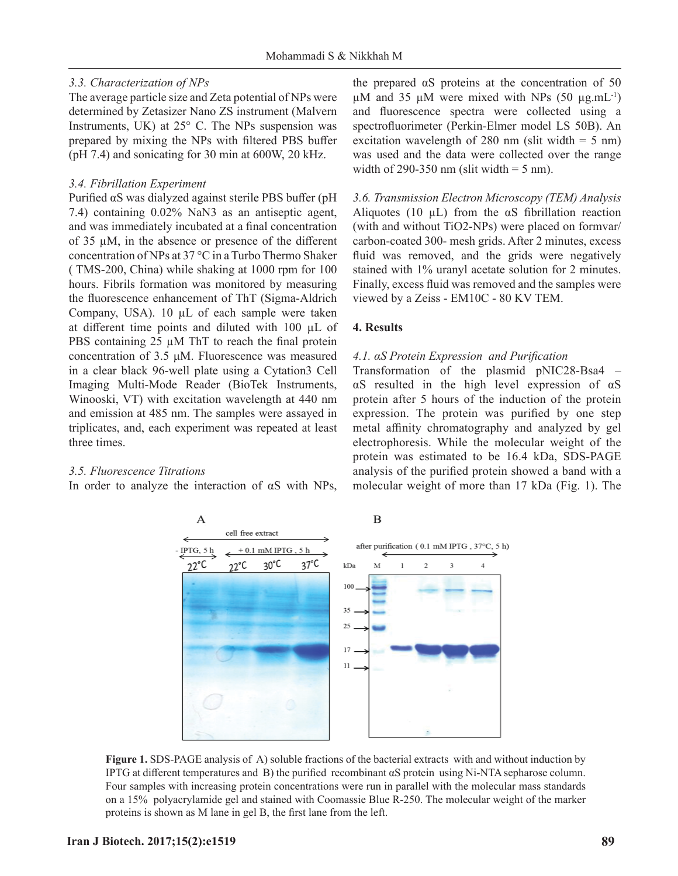#### *3.3. Characterization of NPs*

The average particle size and Zeta potential of NPs were determined by Zetasizer Nano ZS instrument (Malvern Instruments, UK) at 25° C. The NPs suspension was prepared by mixing the NPs with filtered PBS buffer (pH 7.4) and sonicating for 30 min at 600W, 20 kHz.

### *3.4. Fibrillation Experiment*

Purified αS was dialyzed against sterile PBS buffer (pH 7.4) containing 0.02% NaN3 as an antiseptic agent, and was immediately incubated at a final concentration of 35  $\mu$ M, in the absence or presence of the different concentration of NPs at 37 °C in a Turbo Thermo Shaker ( TMS-200, China) while shaking at 1000 rpm for 100 hours. Fibrils formation was monitored by measuring the fluorescence enhancement of ThT (Sigma-Aldrich Company, USA). 10 μL of each sample were taken at diff erent time points and diluted with 100 μL of PBS containing 25 μM ThT to reach the final protein concentration of 3.5 μM. Fluorescence was measured in a clear black 96-well plate using a Cytation3 Cell Imaging Multi-Mode Reader (BioTek Instruments, Winooski, VT) with excitation wavelength at 440 nm and emission at 485 nm. The samples were assayed in triplicates, and, each experiment was repeated at least three times.

#### *3.5. Fluorescence Titrations*

In order to analyze the interaction of αS with NPs,

the prepared  $\alpha S$  proteins at the concentration of 50 μM and 35 μM were mixed with NPs (50 μg.mL<sup>-1</sup>) and fluorescence spectra were collected using a spectrofluorimeter (Perkin-Elmer model LS 50B). An excitation wavelength of 280 nm (slit width  $= 5$  nm) was used and the data were collected over the range width of 290-350 nm (slit width  $=$  5 nm).

*3.6. Transmission Electron Microscopy (TEM) Analysis* Aliquotes (10  $\mu$ L) from the  $\alpha$ S fibrillation reaction (with and without TiO2-NPs) were placed on formvar/ carbon-coated 300- mesh grids. After 2 minutes, excess fluid was removed, and the grids were negatively stained with 1% uranyl acetate solution for 2 minutes. Finally, excess fluid was removed and the samples were viewed by a Zeiss - EM10C - 80 KV TEM.

#### **4. Results**

#### *4.1. αS Protein Expression and Purification*

Transformation of the plasmid pNIC28-Bsa4 – αS resulted in the high level expression of αS protein after 5 hours of the induction of the protein expression. The protein was purified by one step metal affinity chromatography and analyzed by gel electrophoresis. While the molecular weight of the protein was estimated to be 16.4 kDa, SDS-PAGE analysis of the purified protein showed a band with a molecular weight of more than 17 kDa (Fig. 1). The



**Figure 1.** SDS-PAGE analysis of A) soluble fractions of the bacterial extracts with and without induction by IPTG at different temperatures and B) the purified recombinant  $\alpha S$  protein using Ni-NTA sepharose column. Four samples with increasing protein concentrations were run in parallel with the molecular mass standards on a 15% polyacrylamide gel and stained with Coomassie Blue R-250. The molecular weight of the marker proteins is shown as M lane in gel B, the first lane from the left.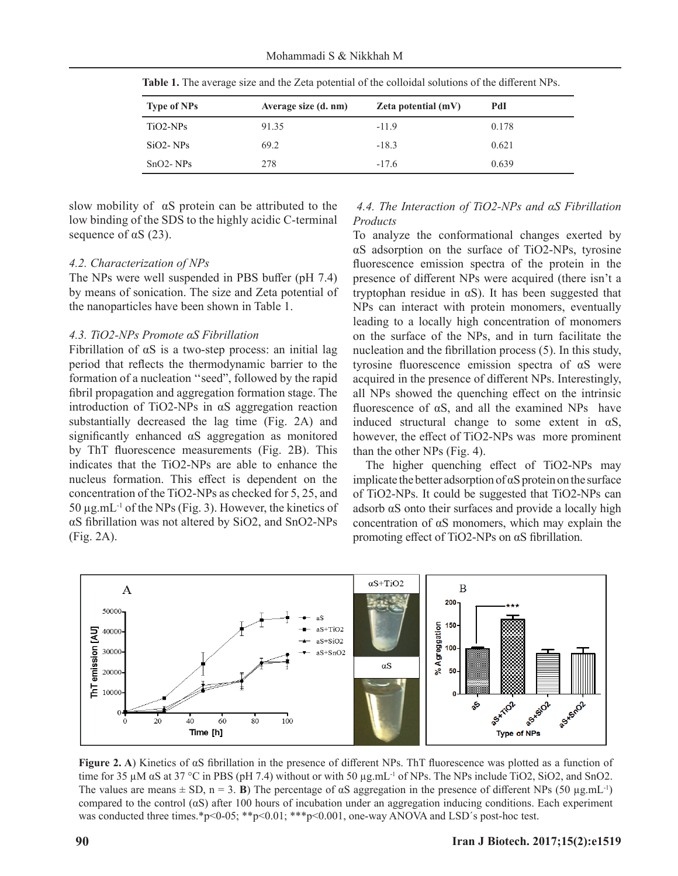Mohammadi S & Nikkhah M

| <b>Type of NPs</b> | Average size (d. nm) | Zeta potential $(mV)$ | PdI   |
|--------------------|----------------------|-----------------------|-------|
| $TiO2-NPs$         | 91.35                | $-11.9$               | 0.178 |
| $SiO2-NPs$         | 69.2                 | $-18.3$               | 0.621 |
| $SnO2-NPs$         | 278                  | $-17.6$               | 0.639 |

Table 1. The average size and the Zeta potential of the colloidal solutions of the different NPs.

slow mobility of αS protein can be attributed to the low binding of the SDS to the highly acidic C-terminal sequence of  $\alpha S$  (23).

#### *4.2. Characterization of NPs*

The NPs were well suspended in PBS buffer (pH 7.4) by means of sonication. The size and Zeta potential of the nanoparticles have been shown in Table 1.

#### *4.3. TiO2-NPs Promote αS Fibrillation*

Fibrillation of  $\alpha S$  is a two-step process: an initial lag period that reflects the thermodynamic barrier to the formation of a nucleation ''seed", followed by the rapid fibril propagation and aggregation formation stage. The introduction of TiO2-NPs in αS aggregation reaction substantially decreased the lag time (Fig. 2A) and significantly enhanced  $\alpha S$  aggregation as monitored by ThT fluorescence measurements (Fig. 2B). This indicates that the TiO2-NPs are able to enhance the nucleus formation. This effect is dependent on the concentration of the TiO2-NPs as checked for 5, 25, and 50 μg.mL<sup>-1</sup> of the NPs (Fig. 3). However, the kinetics of αS fibrillation was not altered by SiO2, and SnO2-NPs (Fig. 2A).

#### *4.4. The Interaction of TiO2-NPs and αS Fibrillation Products*

To analyze the conformational changes exerted by αS adsorption on the surface of TiO2-NPs, tyrosine fluorescence emission spectra of the protein in the presence of different NPs were acquired (there isn't a tryptophan residue in  $\alpha S$ ). It has been suggested that NPs can interact with protein monomers, eventually leading to a locally high concentration of monomers on the surface of the NPs, and in turn facilitate the nucleation and the fibrillation process  $(5)$ . In this study, tyrosine fluorescence emission spectra of  $\alpha$ S were acquired in the presence of different NPs. Interestingly, all NPs showed the quenching effect on the intrinsic fluorescence of  $\alpha S$ , and all the examined NPs have induced structural change to some extent in  $\alpha S$ , however, the effect of TiO2-NPs was more prominent than the other NPs (Fig. 4).

The higher quenching effect of TiO2-NPs may implicate the better adsorption of  $\alpha S$  protein on the surface of TiO2-NPs. It could be suggested that TiO2-NPs can adsorb αS onto their surfaces and provide a locally high concentration of  $\alpha$ S monomers, which may explain the promoting effect of TiO2-NPs on  $\alpha$ S fibrillation.



**Figure 2. A**) Kinetics of  $\alpha S$  fibrillation in the presence of different NPs. ThT fluorescence was plotted as a function of time for 35 μM  $\alpha$ S at 37 °C in PBS (pH 7.4) without or with 50 μg.mL<sup>-1</sup> of NPs. The NPs include TiO2, SiO2, and SnO2. The values are means  $\pm$  SD, n = 3. **B**) The percentage of  $\alpha$ S aggregation in the presence of different NPs (50 µg.mL<sup>-1</sup>) compared to the control ( $\alpha S$ ) after 100 hours of incubation under an aggregation inducing conditions. Each experiment was conducted three times.\*p<0-05; \*\*p<0.01; \*\*\*p<0.001, one-way ANOVA and LSD's post-hoc test.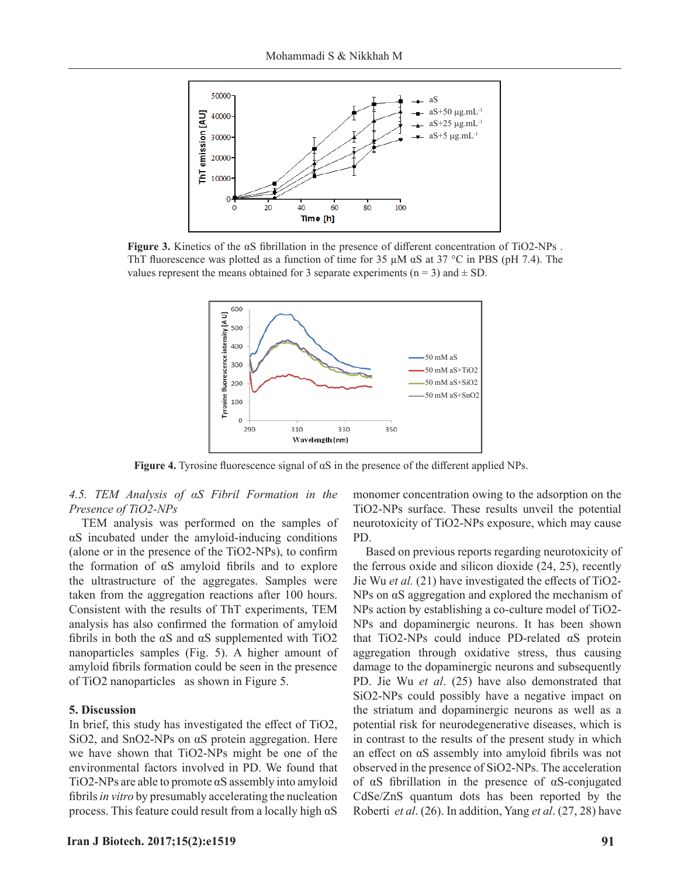

**Figure 3.** Kinetics of the αS fibrillation in the presence of different concentration of TiO2-NPs. ThT fluorescence was plotted as a function of time for 35  $\mu$ M  $\alpha$ S at 37 °C in PBS (pH 7.4). The values represent the means obtained for 3 separate experiments ( $n = 3$ ) and  $\pm$  SD.



**Figure 4.** Tyrosine fluorescence signal of  $\alpha S$  in the presence of the different applied NPs.

*4.5. TEM Analysis of αS Fibril Formation in the Presence of TiO2-NPs*

TEM analysis was performed on the samples of αS incubated under the amyloid-inducing conditions (alone or in the presence of the  $TiO2-NPs$ ), to confirm the formation of  $\alpha S$  amyloid fibrils and to explore the ultrastructure of the aggregates. Samples were taken from the aggregation reactions after 100 hours. Consistent with the results of ThT experiments, TEM analysis has also confirmed the formation of amyloid fibrils in both the  $\alpha S$  and  $\alpha S$  supplemented with TiO2 nanoparticles samples (Fig. 5). A higher amount of amyloid fibrils formation could be seen in the presence of TiO2 nanoparticles as shown in Figure 5.

#### **5. Discussion**

In brief, this study has investigated the effect of TiO2, SiO2, and SnO2-NPs on αS protein aggregation. Here we have shown that TiO2-NPs might be one of the environmental factors involved in PD. We found that TiO2-NPs are able to promote  $\alpha S$  assembly into amyloid fibrils *in vitro* by presumably accelerating the nucleation process. This feature could result from a locally high αS

monomer concentration owing to the adsorption on the TiO2-NPs surface. These results unveil the potential neurotoxicity of TiO2-NPs exposure, which may cause PD.

Based on previous reports regarding neurotoxicity of the ferrous oxide and silicon dioxide (24, 25), recently Jie Wu *et al.* (21) have investigated the effects of TiO2-NPs on αS aggregation and explored the mechanism of NPs action by establishing a co-culture model of TiO2- NPs and dopaminergic neurons. It has been shown that TiO2-NPs could induce PD-related αS protein aggregation through oxidative stress, thus causing damage to the dopaminergic neurons and subsequently PD. Jie Wu *et al*. (25) have also demonstrated that SiO2-NPs could possibly have a negative impact on the striatum and dopaminergic neurons as well as a potential risk for neurodegenerative diseases, which is in contrast to the results of the present study in which an effect on  $\alpha S$  assembly into amyloid fibrils was not observed in the presence of SiO2-NPs. The acceleration of  $\alpha$ S fibrillation in the presence of  $\alpha$ S-conjugated CdSe/ZnS quantum dots has been reported by the Roberti *et al*. (26). In addition, Yang *et al*. (27, 28) have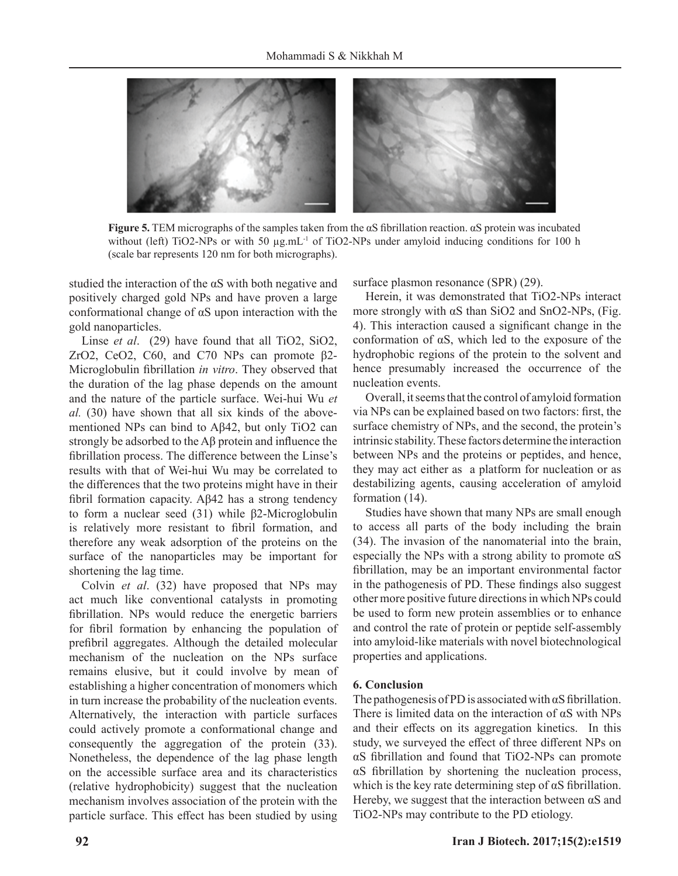

**Figure 5.** TEM micrographs of the samples taken from the αS fibrillation reaction. αS protein was incubated without (left) TiO2-NPs or with 50  $\mu$ g.mL<sup>-1</sup> of TiO2-NPs under amyloid inducing conditions for 100 h (scale bar represents 120 nm for both micrographs).

studied the interaction of the αS with both negative and positively charged gold NPs and have proven a large conformational change of  $\alpha S$  upon interaction with the gold nanoparticles.

Linse *et al*. (29) have found that all TiO2, SiO2, ZrO2, CeO2, C60, and C70 NPs can promote  $β2-$ Microglobulin fibrillation *in vitro*. They observed that the duration of the lag phase depends on the amount and the nature of the particle surface. Wei-hui Wu *et al.* (30) have shown that all six kinds of the abovementioned NPs can bind to Aβ42, but only TiO2 can strongly be adsorbed to the  $\mathsf{A}\beta$  protein and influence the fibrillation process. The difference between the Linse's results with that of Wei-hui Wu may be correlated to the differences that the two proteins might have in their fibril formation capacity. Aβ42 has a strong tendency to form a nuclear seed (31) while β2-Microglobulin is relatively more resistant to fibril formation, and therefore any weak adsorption of the proteins on the surface of the nanoparticles may be important for shortening the lag time.

Colvin *et al*. (32) have proposed that NPs may act much like conventional catalysts in promoting fibrillation. NPs would reduce the energetic barriers for fibril formation by enhancing the population of prefibril aggregates. Although the detailed molecular mechanism of the nucleation on the NPs surface remains elusive, but it could involve by mean of establishing a higher concentration of monomers which in turn increase the probability of the nucleation events. Alternatively, the interaction with particle surfaces could actively promote a conformational change and consequently the aggregation of the protein (33). Nonetheless, the dependence of the lag phase length on the accessible surface area and its characteristics (relative hydrophobicity) suggest that the nucleation mechanism involves association of the protein with the particle surface. This effect has been studied by using surface plasmon resonance (SPR) (29).

Herein, it was demonstrated that TiO2-NPs interact more strongly with  $\alpha$ S than SiO2 and SnO2-NPs, (Fig. 4). This interaction caused a significant change in the conformation of αS, which led to the exposure of the hydrophobic regions of the protein to the solvent and hence presumably increased the occurrence of the nucleation events.

Overall, it seems that the control of amyloid formation via NPs can be explained based on two factors: first, the surface chemistry of NPs, and the second, the protein's intrinsic stability. These factors determine the interaction between NPs and the proteins or peptides, and hence, they may act either as a platform for nucleation or as destabilizing agents, causing acceleration of amyloid formation (14).

Studies have shown that many NPs are small enough to access all parts of the body including the brain (34). The invasion of the nanomaterial into the brain, especially the NPs with a strong ability to promote  $\alpha S$ fibrillation, may be an important environmental factor in the pathogenesis of PD. These findings also suggest other more positive future directions in which NPs could be used to form new protein assemblies or to enhance and control the rate of protein or peptide self-assembly into amyloid-like materials with novel biotechnological properties and applications.

## **6. Conclusion**

The pathogenesis of PD is associated with  $\alpha$ S fibrillation. There is limited data on the interaction of αS with NPs and their effects on its aggregation kinetics. In this study, we surveyed the effect of three different NPs on αS fibrillation and found that TiO2-NPs can promote αS fibrillation by shortening the nucleation process, which is the key rate determining step of  $\alpha S$  fibrillation. Hereby, we suggest that the interaction between  $\alpha S$  and TiO2-NPs may contribute to the PD etiology.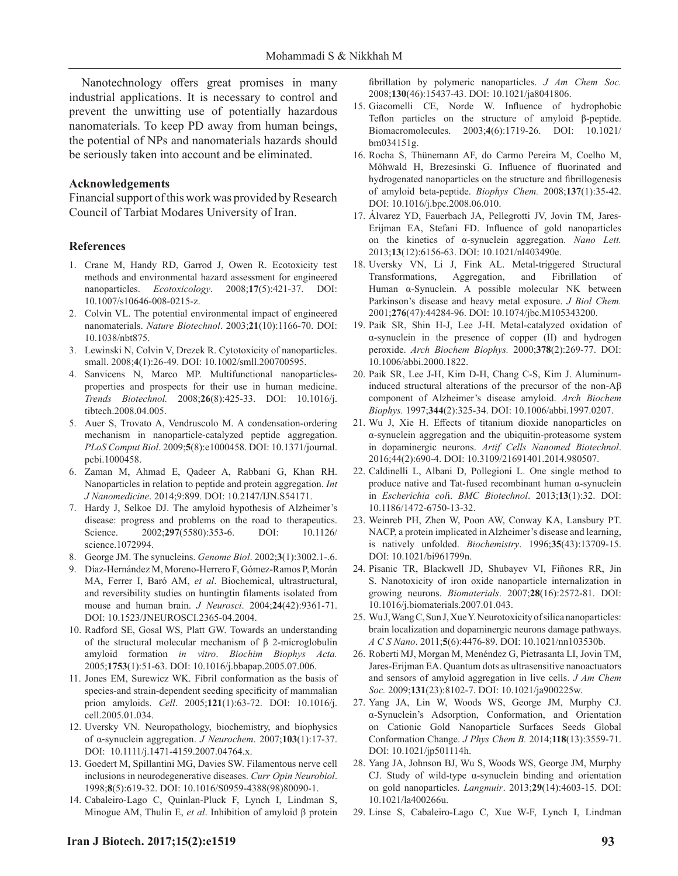Nanotechnology offers great promises in many industrial applications. It is necessary to control and prevent the unwitting use of potentially hazardous nanomaterials. To keep PD away from human beings, the potential of NPs and nanomaterials hazards should be seriously taken into account and be eliminated.

#### **Acknowledgements**

Financial support of this work was provided by Research Council of Tarbiat Modares University of Iran.

#### **References**

- 1. Crane M, Handy RD, Garrod J, Owen R. Ecotoxicity test methods and environmental hazard assessment for engineered nanoparticles. *Ecotoxicology*. 2008;**17**(5):421-37. DOI: 10.1007/s10646-008-0215-z.
- 2. Colvin VL. The potential environmental impact of engineered nanomaterials. *Nature Biotechnol*. 2003;**21**(10):1166-70. DOI: 10.1038/nbt875.
- 3. Lewinski N, Colvin V, Drezek R. Cytotoxicity of nanoparticles. small. 2008;**4**(1):26-49. DOI: 10.1002/smll.200700595.
- 4. Sanvicens N, Marco MP. Multifunctional nanoparticlesproperties and prospects for their use in human medicine. *Trends Biotechnol.* 2008;**26**(8):425-33. DOI: 10.1016/j. tibtech.2008.04.005.
- 5. Auer S, Trovato A, Vendruscolo M. A condensation-ordering mechanism in nanoparticle-catalyzed peptide aggregation. *PLoS Comput Biol*. 2009;**5**(8):e1000458. DOI: 10.1371/journal. pcbi.1000458.
- 6. Zaman M, Ahmad E, Qadeer A, Rabbani G, Khan RH. Nanoparticles in relation to peptide and protein aggregation. *Int J Nanomedicine*. 2014;9:899. DOI: 10.2147/IJN.S54171.
- 7. Hardy J, Selkoe DJ. The amyloid hypothesis of Alzheimer's disease: progress and problems on the road to therapeutics. Science. 2002;297(5580):353-6. DOI: 10.1126/ science.1072994.
- 8. George JM. The synucleins. *Genome Biol*. 2002;**3**(1):3002.1-.6.
- 9. Díaz-Hernández M, Moreno-Herrero F, Gómez-Ramos P, Morán MA, Ferrer I, Baró AM, *et al*. Biochemical, ultrastructural, and reversibility studies on huntingtin filaments isolated from mouse and human brain. *J Neurosci*. 2004;**24**(42):9361-71. DOI: 10.1523/JNEUROSCI.2365-04.2004.
- 10. Radford SE, Gosal WS, Platt GW. Towards an understanding of the structural molecular mechanism of β 2-microglobulin amyloid formation *in vitro*. *Biochim Biophys Acta.*  2005;**1753**(1):51-63. DOI: 10.1016/j.bbapap.2005.07.006.
- 11. Jones EM, Surewicz WK. Fibril conformation as the basis of species-and strain-dependent seeding specificity of mammalian prion amyloids. *Cell*. 2005;**121**(1):63-72. DOI: 10.1016/j. cell.2005.01.034.
- 12. Uversky VN. Neuropathology, biochemistry, and biophysics of α-synuclein aggregation. *J Neurochem*. 2007;**103**(1):17-37. DOI: 10.1111/j.1471-4159.2007.04764.x.
- 13. Goedert M, Spillantini MG, Davies SW. Filamentous nerve cell inclusions in neurodegenerative diseases. *Curr Opin Neurobiol*. 1998;**8**(5):619-32. DOI: 10.1016/S0959-4388(98)80090-1.
- 14. Cabaleiro-Lago C, Quinlan-Pluck F, Lynch I, Lindman S, Minogue AM, Thulin E, *et al*. Inhibition of amyloid β protein

fibrillation by polymeric nanoparticles. *J Am Chem Soc.* 2008;**130**(46):15437-43. DOI: 10.1021/ja8041806.

- 15. Giacomelli CE, Norde W. Influence of hydrophobic Teflon particles on the structure of amyloid β-peptide. Biomacromolecules. 2003;**4**(6):1719-26. DOI: 10.1021/ bm034151g.
- 16. Rocha S, Thünemann AF, do Carmo Pereira M, Coelho M, Möhwald H, Brezesinski G. Influence of fluorinated and hydrogenated nanoparticles on the structure and fibrillogenesis of amyloid beta-peptide. *Biophys Chem.* 2008;**137**(1):35-42. DOI: 10.1016/j.bpc.2008.06.010.
- 17. Álvarez YD, Fauerbach JA, Pellegrotti JV, Jovin TM, Jares-Erijman EA, Stefani FD. Influence of gold nanoparticles on the kinetics of α-synuclein aggregation. *Nano Lett.* 2013;**13**(12):6156-63. DOI: 10.1021/nl403490e.
- 18. Uversky VN, Li J, Fink AL. Metal-triggered Structural Transformations, Aggregation, and Fibrillation of Human α-Synuclein. A possible molecular NK between Parkinson's disease and heavy metal exposure. *J Biol Chem.* 2001;**276**(47):44284-96. DOI: 10.1074/jbc.M105343200.
- 19. Paik SR, Shin H-J, Lee J-H. Metal-catalyzed oxidation of α-synuclein in the presence of copper (II) and hydrogen peroxide. *Arch Biochem Biophys.* 2000;**378**(2):269-77. DOI: 10.1006/abbi.2000.1822.
- 20. Paik SR, Lee J-H, Kim D-H, Chang C-S, Kim J. Aluminuminduced structural alterations of the precursor of the non-Aβ component of Alzheimer's disease amyloid. *Arch Biochem Biophys.* 1997;**344**(2):325-34. DOI: 10.1006/abbi.1997.0207.
- 21. Wu J, Xie H. Effects of titanium dioxide nanoparticles on α-synuclein aggregation and the ubiquitin-proteasome system in dopaminergic neurons. *Artif Cells Nanomed Biotechnol*. 2016;44(2):690-4. DOI: 10.3109/21691401.2014.980507.
- 22. Caldinelli L, Albani D, Pollegioni L. One single method to produce native and Tat-fused recombinant human α-synuclein in *Escherichia col*i. *BMC Biotechnol*. 2013;**13**(1):32. DOI: 10.1186/1472-6750-13-32.
- 23. Weinreb PH, Zhen W, Poon AW, Conway KA, Lansbury PT. NACP, a protein implicated in Alzheimer's disease and learning, is natively unfolded. *Biochemistry*. 1996;**35**(43):13709-15. DOI: 10.1021/bi961799n.
- 24. Pisanic TR, Blackwell JD, Shubayev VI, Fiñones RR, Jin S. Nanotoxicity of iron oxide nanoparticle internalization in growing neurons. *Biomaterials*. 2007;**28**(16):2572-81. DOI: 10.1016/j.biomaterials.2007.01.043.
- 25. Wu J, Wang C, Sun J, Xue Y. Neu rotoxicity of silica nanoparticles: brain localization and dopaminergic neurons damage pathways. *A C S Nano*. 2011;**5**(6):4476-89. DOI: 10.1021/nn103530b.
- 26. Roberti MJ, Morgan M, Menéndez G, Pietrasanta LI, Jovin TM, Jares-Erijman EA. Quantum dots as ultrasensitive nanoactuators and sensors of amyloid aggregation in live cells. *J Am Chem Soc.* 2009;**131**(23):8102-7. DOI: 10.1021/ja900225w.
- 27. Yang JA, Lin W, Woods WS, George JM, Murphy CJ. α-Synuclein's Adsorption, Conformation, and Orientation on Cationic Gold Nanoparticle Surfaces Seeds Global Conformation Change. *J Phys Chem B.* 2014;**118**(13):3559-71. DOI: 10.1021/jp501114h.
- 28. Yang JA, Johnson BJ, Wu S, Woods WS, George JM, Murphy CJ. Study of wild-type α-synuclein binding and orientation on gold nanoparticles. *Langmuir*. 2013;**29**(14):4603-15. DOI: 10.1021/la400266u.
- 29. Linse S, Cabaleiro-Lago C, Xue W-F, Lynch I, Lindman